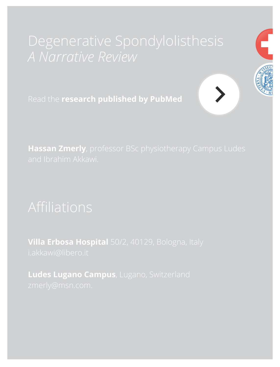# *A Narrative Review*

Read the **research published by PubMed**



**O**

**Villa Erbosa Hospital** 50/2, 40129, Bologna, Italy

**Ludes Lugano Campus**, Lugano, Switzerland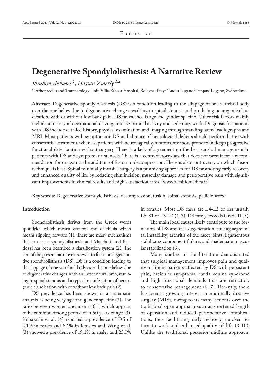## **Degenerative Spondylolisthesis: A Narrative Review**

*Ibrahim Akkawi 1 , Hassan Zmerly 1,2*

 $^{\rm 1}$ Orthopaedics and Traumatology Unit, Villa Erbosa Hospital, Bologna, Italy;  $^{\rm 2}$ Ludes Lugano Campus, Lugano, Switzerland.

**Abstract.** Degenerative spondylolisthesis (DS) is a condition leading to the slippage of one vertebral body over the one below due to degenerative changes resulting in spinal stenosis and producing neurogenic claudication, with or without low back pain. DS prevalence is age and gender specific. Other risk factors mainly include a history of occupational driving, intense manual activity and sedentary work. Diagnosis for patients with DS include detailed history, physical examination and imaging through standing lateral radiographs and MRI. Most patients with symptomatic DS and absence of neurological deficits should perform better with conservative treatment, whereas, patients with neurological symptoms, are more prone to undergo progressive functional deterioration without surgery. There is a lack of agreement on the best surgical management in patients with DS and symptomatic stenosis. There is a contradictory data that does not permit for a recommendation for or against the addition of fusion to decompression. There is also controversy on which fusion technique is best. Spinal minimally invasive surgery is a promising approach for DS promoting early recovery and enhanced quality of life by reducing skin incision, muscular damage and perioperative pain with significant improvements in clinical results and high satisfaction rates. (www.actabiomedica.it)

**Key words:** Degenerative spondylolisthesis, decompression, fusion, spinal stenosis, pedicle screw

#### **Introduction**

Spondylolisthesis derives from the Greek words spondylos which means vertebra and olisthesis which means slipping forward (1). There are many mechanisms that can cause spondylolisthesis, and Marchetti and Bartlozzi has been described a classification system (2). The aim of the present narrative review is to focus on degenerative spondylolisthesis (DS). DS is a condition leading to the slippage of one vertebral body over the one below due to degenerative changes, with an intact neural arch, resulting in spinal stenosis and a typical manifestation of neurogenic claudication, with or without low back pain (2).

DS prevalence has been shown in a systematic analysis as being very age and gender specific (3). The ratio between women and men is 6:1, which appears to be common among people over 50 years of age (3). Kobayashi et al. (4) reported a prevalence of DS of 2.1% in males and 8.1% in females and Wang et al. (3) showed a prevalence of 19.1% in males and 25.0%

in females. Most DS cases are L4-L5 or less usually L5-S1 or L3-L4 (1, 3). DS rarely exceeds Grade II (5).

The main local causes likely contribute to the formation of DS are: disc degeneration causing segmental instability; arthritis of the facet joints; ligamentous stabilizing component failure, and inadequate muscular stabilization (3).

Many studies in the literature demonstrated that surgical management improves pain and quality of life in patients affected by DS with persistent pain, radicular symptoms, cauda equina syndrome and high functional demands that are refractory to conservative management (6, 7). Recently, there has been a growing interest in minimally invasive surgery (MIS), owing to its many benefits over the traditional open approach such as shortened length of operation and reduced perioperative complications, thus facilitating early recovery, quicker return to work and enhanced quality of life (8-10). Unlike the traditional posterior midline approach,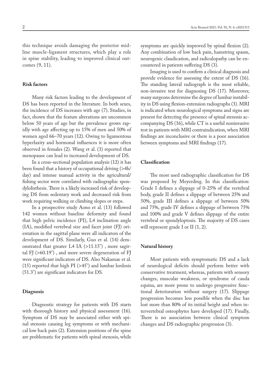this technique avoids damaging the posterior midline muscle-ligament structures, which play a role in spine stability, leading to improved clinical outcomes (9, 11).

#### **Risk factors**

Many risk factors leading to the development of DS has been reported in the literature. In both sexes, the incidence of DS increases with age (7). Studies, in fact, shown that the feature alterations are uncommon below 50 years of age but the prevalence grows rapidly with age affecting up to 15% of men and 50% of women aged 66–70 years (12). Owing to ligamentous hyperlaxity and hormonal influences it is more often observed in females (2). Wang et al. (3) reported that menopause can lead to increased development of DS.

In a cross-sectional population analysis (12) it has been found that a history of occupational driving (>4h/ day) and intense manual activity in the agricultural/ fishing sector were correlated with radiographic spondylolisthesis. There is a likely increased risk of developing DS from sedentary work and decreased risk from work requiring walking or climbing slopes or steps.

In a prospective study Aono et al. (13) followed 142 women without baseline deformity and found that high pelvic incidence (PI), L4 inclination angle (IA), modified vertebral size and facet joint (FJ) orientation in the sagittal plane were all indicators of the development of DS. Similarly, Guo et al. (14) demonstrated that greater L4 IA (>11.15°) , more sagittal FJ (>60.19°) , and more severe degeneration of FJ were significant indicators of DS. Also Nakamae et al. (15) reported that high PI (>45°) and lumbar lordosis (51.3°) are significant indicators for DS.

### **Diagnosis**

Diagnostic strategy for patients with DS starts with thorough history and physical assessment (16). Symptom of DS may be associated either with spinal stenosis causing leg symptoms or with mechanical low back pain (2). Extension positions of the spine are problematic for patients with spinal stenosis, while symptoms are quickly improved by spinal flexion (2). Any combination of low back pain, hamstring spasm, neurogenic claudication, and radiculopathy can be encountered in patients suffering DS (3).

Imaging is used to confirm a clinical diagnosis and provide evidence for assessing the extent of DS (16). The standing lateral radiograph is the most reliable, non-invasive test for diagnosing DS (17). Moreover, many surgeons determine the degree of lumbar instability in DS using flexion-extension radiographs (3). MRI is indicated when neurological symptoms and signs are present for detecting the presence of spinal stenosis accompanying DS (16), while CT is a useful noninvasive test in patients with MRI contraindication, when MRI findings are inconclusive or there is a poor association between symptoms and MRI findings (17).

#### **Classification**

The most used radiographic classification for DS was proposed by Meyerding. In this classification: Grade I defines a slippage of 0-25% of the vertebral body, grade II defines a slippage of between 25% and 50%, grade III defines a slippage of between 50% and 75%, grade IV defines a slippage of between 75% and 100% and grade V defines slippage of the entire vertebral or spondyloptosis. The majority of DS cases will represent grade I or II  $(1, 2)$ .

#### **Natural history**

Most patients with symptomatic DS and a lack of neurological deficits should perform better with conservative treatment, whereas, patients with sensory changes, muscular weakness, or syndrome of cauda equina, are more prone to undergo progressive functional deterioration without surgery (17). Slippage progression becomes less possible when the disc has lost more than 80% of its initial height and when intervertebral osteophytes have developed (17). Finally, There is no association between clinical symptom changes and DS radiographic progression (3).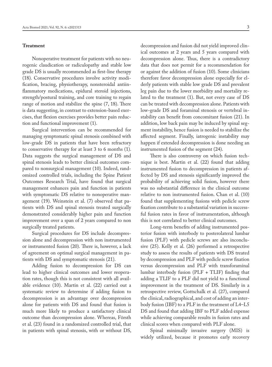#### **Treatment**

Nonoperative treatment for patients with no neurogenic claudication or radiculopathy and stable low grade DS is usually recommended as first-line therapy (18). Conservative procedures involve activity modification, bracing, physiotherapy, nonsteroidal antiinflammatory medications, epidural steroid injections, strength/postural training, and core training to regain range of motion and stabilize the spine (7, 18). There is data suggesting, in contrast to extension-based exercises, that flexion exercises provides better pain reduction and functional improvement (1).

Surgical intervention can be recommended for managing symptomatic spinal stenosis combined with low-grade DS in patients that have been refractory to conservative therapy for at least 3 to 6 months (1). Data suggests the surgical management of DS and spinal stenosis leads to better clinical outcomes compared to nonsurgical management (10). Indeed, randomized controlled trials, including the Spine Patient Outcomes Research Trial, have found that surgical management enhances pain and function in patients with symptomatic DS relative to nonoperative management (19). Weinstein et al. (7) observed that patients with DS and spinal stenosis treated surgically demonstrated considerably higher pain and function improvement over a span of 2 years compared to non surgically treated patients.

Surgical procedures for DS include decompression alone and decompression with non instrumented or instrumented fusion (20). There is, however, a lack of agreement on optimal surgical management in patients with DS and symptomatic stenosis (21).

Adding fusion to decompression for DS can lead to higher clinical outcomes and lower reoperation rates, though this is not consistent with all available evidence (10). Martin et al. (22) carried out a systematic review to determine if adding fusion to decompression is an advantage over decompression alone for patients with DS and found that fusion is much more likely to produce a satisfactory clinical outcome than decompression alone. Whereas, Försth et al. (23) found in a randomized controlled trial, that in patients with spinal stenosis, with or without DS, decompression and fusion did not yield improved clinical outcomes at 2 years and 5 years compared with decompression alone. Thus, there is a contradictory data that does not permit for a recommendation for or against the addition of fusion (10). Some clinicians therefore favor decompression alone especially for elderly patients with stable low grade DS and prevalent leg pain due to the lower morbidity and mortality related to the treatment (1). But, not every case of DS can be treated with decompression alone. Patients with low-grade DS and foraminal stenosis or vertebral instability can benefit from concomitant fusion (21). In addition, low back pain may be induced by spinal segment instability, hence fusion is needed to stabilize the affected segment. Finally, iatrogenic instability may happen if extended decompression is done needing an instrumented fusion of the segment (24).

There is also controversy on which fusion technique is best. Martin et al. (22) found that adding instrumented fusion to decompression in patients affected by DS and stenosis significantly improved the probability of achieving solid fusion, however there was no substantial difference in the clinical outcome relative to non instrumented fusion. Chan et al. (10) found that supplementing fusions with pedicle screw fixation contribute to a substantial variation in successful fusion rates in favor of instrumentation, although this is not correlated to better clinical outcomes.

Long-term benefits of adding instrumented posterior fusion with interbody to posterolateral lumbar fusion (PLF) with pedicle screws are also inconclusive (25). Kelly et al. (26) performed a retrospective study to assess the results of patients with DS treated by decompression and PLF with pedicle screw fixation versus decompression and PLF with transforaminal lumbar interbody fusion (PLF + TLIF) finding that adding a TLIF to a PLF did not yield to a functional improvement in the treatment of DS. Similarly in a retrospective review, Gottschalk et al. (27), compared the clinical, radiographical, and cost of adding an interbody fusion (IBF) to a PLF in the treatment of L4–L5 DS and found that adding IBF to PLF added expense while achieving comparable results in fusion rates and clinical scores when compared with PLF alone.

Spinal minimally invasive surgery (MIS) is widely utilized, because it promotes early recovery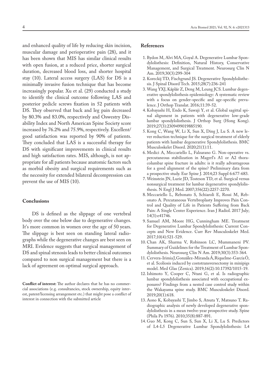and enhanced quality of life by reducing skin incision, muscular damage and perioperative pain (28), and it has been shown that MIS has similar clinical results with open fusion, at a reduced price, shorter surgical duration, decreased blood loss, and shorter hospital stay (10). Lateral access surgery (LAS) for DS is a minimally invasive fusion technique that has become increasingly popular. Xu et al. (29) conducted a study to identify the clinical outcome following LAS and posterior pedicle screws fixation in 52 patients with DS. They observed that back and leg pain decreased by 80.3% and 83.0%, respectively and Oswestry Disability Index and North American Spine Society score increased by 76.2% and 75.9%, respectively. Excellent/ good satisfaction was reported by 90% of patients. They concluded that LAS is a successful therapy for DS with significant improvements in clinical results and high satisfaction rates. MIS, although, is not appropriate for all patients because anatomic factors such as morbid obesity and surgical requirements such as the necessity for extended bilateral decompression can prevent the use of MIS (10).

#### **Conclusions**

DS is defined as the slippage of one vertebral body over the one below due to degenerative changes. It's more common in women over the age of 50 years. The slippage is best seen on standing lateral radiographs while the degenerative changes are best seen on MRI. Evidence suggests that surgical management of DS and spinal stenosis leads to better clinical outcomes compared to non surgical management but there is a lack of agreement on optimal surgical approach.

**Conflict of interest:** The author declares that he has no commercial associations (e.g. consultancies, stock ownership, equity interest, patent/licensing arrangement etc.) that might pose a conflict of interest in connection with the submitted article

#### **References**

- 1. Bydon M, Alvi MA, Goyal A. Degenerative Lumbar Spondylolisthesis: Definition, Natural History, Conservative Management, and Surgical Treatment. Neurosurg Clin N Am. 2019;30(3):299-304
- 2. Koreckij TD, Fischgrund JS. Degenerative Spondylolisthesis. J Spinal Disord Tech. 2015;28(7):236-241
- 3. Wang YXJ, Káplár Z, Deng M, Leung JCS. Lumbar degenerative spondylolisthesis epidemiology: A systematic review with a focus on gender-specific and age-specific prevalence. J Orthop Translat. 2016;11:39-52.
- 4. Kobayashi H, Endo K, Sawaji Y, et al. Global sagittal spinal alignment in patients with degenerative low-grade lumbar spondylolisthesis. J Orthop Surg (Hong Kong). 2019;27(3):2309499019885190.
- 5. Kong C, Wang W, Li X, Sun X, Ding J, Lu S. A new lever reduction technique for the surgical treatment of elderly patients with lumbar degenerative Spondylolisthesis. BMC Musculoskelet Disord. 2020;21(1):11.
- 6. Medici A, Meccariello L, Falzarano G. Non-operative vs. percutaneous stabilization in Magerl's A1 or A2 thoracolumbar spine fracture in adults: is it really advantageous for a good alignment of the spine? Preliminary data from a prospective study. Eur Spine J. 2014;23 Suppl 6:677-683.
- 7. Weinstein JN, Lurie JD, Tosteson TD, et al. Surgical versus nonsurgical treatment for lumbar degenerative spondylolisthesis. N Engl J Med. 2007;356(22):2257-2270.
- 8. Meccariello L, Rebonato S, Schiaroli E, Rossi M, Rebonato A. Percutaneous Vertebroplasty Improves Pain Control and Quality of Life in Patients Suffering from Back Pain: A Single Center Experience. Iran J Radiol. 2017 July; 14(3):e41746.
- 9. Samuel AM, Moore HG, Cunningham ME. Treatment for Degenerative Lumbar Spondylolisthesis: Current Concepts and New Evidence. Curr Rev Musculoskelet Med. 2017;10(4):521-529.
- 10. Chan AK, Sharma V, Robinson LC, Mummaneni PV. Summary of Guidelines for the Treatment of Lumbar Spondylolisthesis. Neurosurg Clin N Am. 2019;30(3):353-364.
- 11. Cervera-Irimia J, González-Miranda Á, Riquelme-García Ó, et al. Scoliosis induced by costotransversectomy in minipigs model. Med Glas (Zenica). 2019;16(2):10.17392/1015-19.
- 12.Ishimoto Y, Cooper C, Ntani G, et al. Is radiographic lumbar spondylolisthesis associated with occupational exposures? Findings from a nested case control study within the Wakayama spine study. BMC Musculoskelet Disord. 2019;20(1):618.
- 13. Aono K, Kobayashi T, Jimbo S, Atsuta Y, Matsuno T. Radiographic analysis of newly developed degenerative spondylolisthesis in a mean twelve-year prospective study. Spine (Phila Pa 1976). 2010;35(8):887-891.
- 14. Guo M, Kong C, Sun S, Sun X, Li X, Lu S. Predictors of L4-L5 Degenerative Lumbar Spondylolisthesis: L4